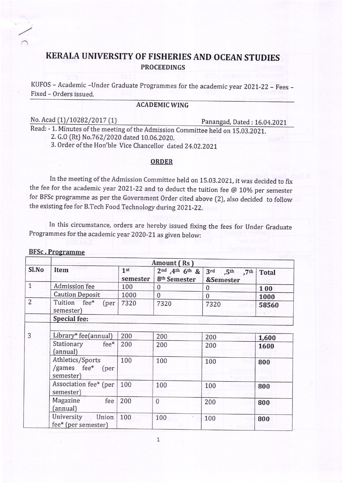## KERALA UNIVERSITY OF FISHERIES AND OCEAN STUDIES PROCEEDINGS

KUFOS - Academic -Under Graduate Programmes for the academic year 2021-22 - Fees -Fixed - Orders issued

### ACADEMICWING

No. Acad (1)/10282/2017 (1) Panangad, Dated : 16.04.2021

Read: - 1. Minutes of the meeting of the Admission Commitee held on 15.03.2021.

2. G.O (Rt) No.762/2020 dated 10.06.2020.

3. Order of the Hon'ble Vice Chancellor dated 24.02.2021

#### ORDER

In the meeting of the Admission committee held on 15.03.2021, it was decided to fix the fee for the academic year 2021-22 and to deduct the tuition fee  $@10\%$  per semester for BFSc programme as per the Government Order cited above (2), also decided to follow the existing fee for B.Tech Food Technology during 2021-22.

In this circumstance, orders are hereby issued fixing the fees for Under Graduate Programmes for the academic year 2020-21 as given below:

#### BFSc . Programme

| Sl.No          | Amount (Rs)                                       |                             |                                                                          |                                        |              |  |  |
|----------------|---------------------------------------------------|-----------------------------|--------------------------------------------------------------------------|----------------------------------------|--------------|--|--|
|                | Item                                              | 1 <sup>st</sup><br>semester | $2^{nd}$ , 4 <sup>th</sup> 6 <sup>th</sup> &<br>8 <sup>th</sup> Semester | $3^{\text{rd}}$ ,5th ,7th<br>&Semester | <b>Total</b> |  |  |
| $\mathbf{1}$   | Admission fee                                     | 100                         | $\bf{0}$                                                                 | $\Omega$                               | 100          |  |  |
|                | <b>Caution Deposit</b>                            | 1000                        | $\mathbf{0}$                                                             | $\mathbf{0}$                           | 1000         |  |  |
| $\overline{2}$ | Tuition fee*<br>[per]<br>semester)                | 7320                        | 7320                                                                     | 7320                                   | 58560        |  |  |
|                | Special fee:                                      |                             |                                                                          |                                        |              |  |  |
|                |                                                   |                             |                                                                          |                                        |              |  |  |
| 3              | Library* fee(annual)                              | 200                         | 200                                                                      | 200                                    | 1,600        |  |  |
|                | Stationary fee*<br>(annual)                       | 200                         | 200                                                                      | 200                                    | 1600         |  |  |
|                | Athletics/Sports<br>/games fee* (per<br>semester) | 100                         | 100                                                                      | 100                                    | 800          |  |  |
|                | Association fee* (per<br>semester)                | 100                         | 100                                                                      | 100                                    | 800          |  |  |
|                | Magazine<br>fee<br>(annual)                       | 200                         | $\mathbf{0}$                                                             | 200                                    | 800          |  |  |
|                | University<br>Union<br>fee* (per semester)        | 100                         | 100                                                                      | 100                                    | 800          |  |  |